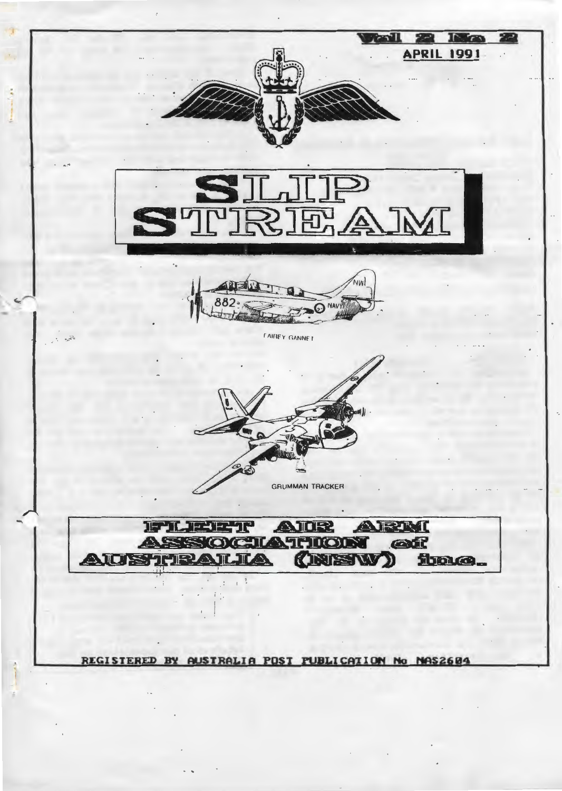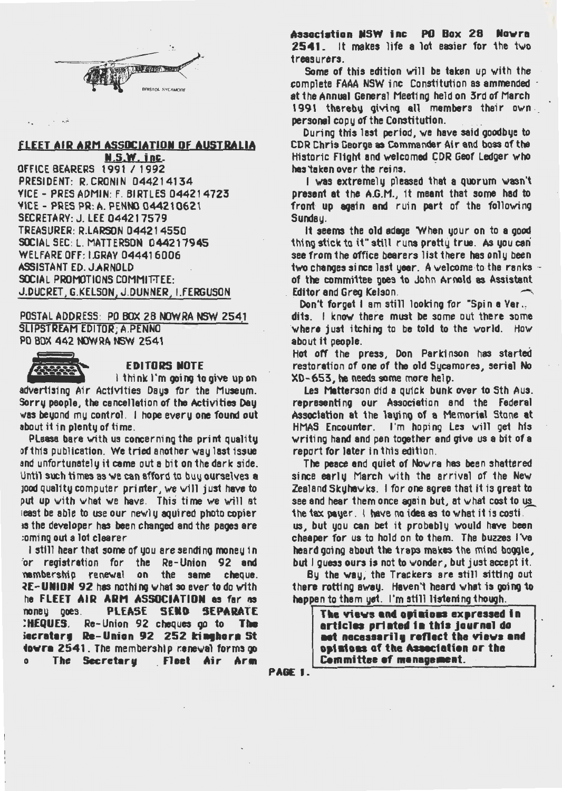

# FLEET AIR ARM ASSOCIATION OF AUSTRALIA<br>N.S.W. inc.

**OFFICE BEARERS 1991 / 1992** PRESIDENT: R. CRONIN 044214134 VICE - PRES ADMIN: F. BIRTLES 044214723 VICE - PRES PR: A. PENNO 044210621 SECRETARY: J. LEE 044217579 TREASURER: R.LARSON 044214550 SOCIAL SEC: L. MATTERSON 044217945 WELFARE Off: I.GRAV 044416006 ASSISTANT ED. J.ARNOLD SOCIAL PROMOTIONS COMMITTEE: J.DUCRET, G.KELSON, J.DUNNER, I.FERGUSON

POSTAL ADDRESS: PO BOX 28 NOWRA NSW 2541 SLIPSTREAM EDITOR; A.PENNO . PO BOX 442 NOW RA NSW 2541



 $\frac{1}{2}$  ,  $\frac{1}{2}$  ,  $\frac{1}{2}$ 

 $\ddot{\phantom{a}}$  .

### EDITORS NOTE

I think I'm going to give up on advertising Air Activities Days for the Museum. Sorry people, the cancellation of the Activities Day was beyond mu control. I hope every one found out about it in plenty of time.

Please bare with us concerning the print quality of this publication. We tried another way last issue and unfortunately it came out a bit on the dark side. Until such times as we can afford to buy ourselves a  $1000$  quality computer printer, we will just have to put up with what we have. This time we will at least be able to use our newly aquired photo copier is the developer has been changed and the pages are :oming out a lot clearer

I still hear that some of you are sending money in for registration for the Re-Union 92 and nembership renewal on the same cheque. 2E-UNION 92 has nothing what so ever to do with he FLEET AIR ARM ASSOCIATION as far a noney goes. PLEASE SEND SEPARATE :HEQUES. Re-Union 92 cheques go to The iecratary Re-Union 92 252 kinehora St fovra 2541. The membership reneval forms go<br>o The Secretary Fleet Air Arm The Secretary . Fleet Air Arm

Association NSW inc PO Box 28 Nowra  $2541$ . It makes life a lot easier for the two treasurers.

Some of this edition will be taken up with the complete fAAA NSW inc Constitution as ammended · at the Annual General Meeting held on 3rd of March 1991 thereby giving all members their own. personal copy of the Constitution.

During this last period, we have said goodbye to CDR Chris George as Commander Air and boss of the Historic: Flight and welcomed CDR Geof Ledger who hes 'ta ken over the reins.

I was extremely pleased that a quorum wasn't present at the A.G.M., it meant that some had to front up again and ruin part of the following Sunday.

It seems the old adage 'When your on to a good thing stick to it" still runs pretty true. AS you can see from the office bearers list there has only been two changes since last year. A welcome-to-the ranks of the committee goes to John Arnold as Assistant Editor and Greg Kelson.

Don't forget I am still looking for "Spin a Yar., dits. I know there must be some out there some where just itching to be told to the world. How about it people.

Hot off the press, Don Parkinson has started restoration of one of the old Sycamores, serial No  $XD - 653$ , he needs some more help.

Les Matterson did a quick bunk over to Sth Aus. representing our Association and the Federal Association at the laying of a Memorial Stone at HMAS Encounter. I'm hoping Les will get his writing hand and pen together and give us a bit of a report for later in this edition.

The peace and quiet of Nowra has been shattered since early March with the arrival of the New Zealand Skuha $\vee$ ks. I for one agree that it is great to see and hear them once again but, at  $\vee$  hat cost to us the tax payer. I have no idea as to what it is costi.

us, but you can bet it probably would have been cheaper for us to hold on to them. The buzzes I've heard going about the traps makes the mind boggle. but I guess ours is not to wonder, but just accept it.

By the way; the Trackers are still sitting out there rotting away. Haven't heard what is going to happen to them yet. I'm still listening though.

> The views and opinions expressed in erticles printed in this journal do net necessarily reflect the views and opisions of the Association or the Committee of management.

PAGE I.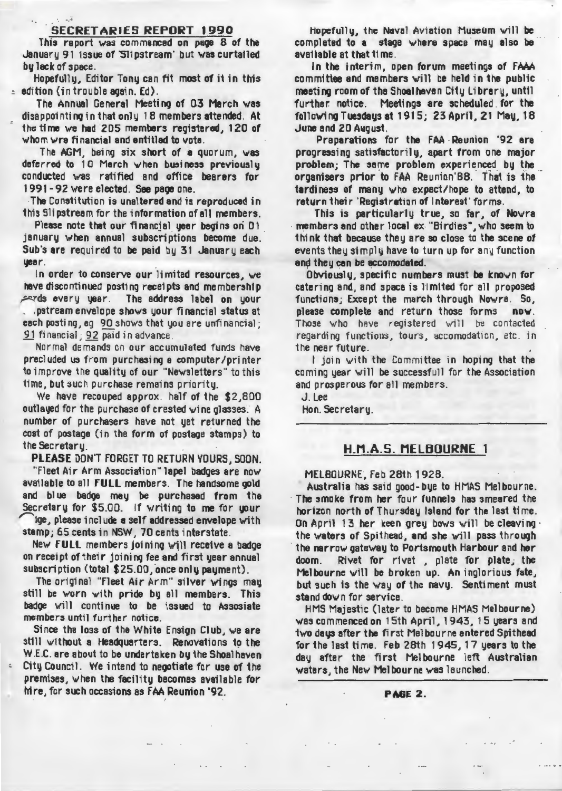#### SECRETARIES REPORT 1990

• ~. -t

This report was commenced on paoe 8 of the January 91 issue of 'Slipstream' but was curtailed bv Jack of space.

Hopefully, Editor Tony can fit most of it in this : edition {in trouble again. Ed).

The Annual General Meeting of 03 March was disappointing in that only 18 members attended. At the time we had 205 members registered, 120 of whom wre financial and entitled to vote.

The AGM, being six short of a quorum,  $\sqrt{18}$ deferred to 10 Merch when business previously conducted was ratified and office bearers for 1991-92 were elected. See page one.

The Constitution is unaltered and is reproduced in this Slipstream for the information of all members.

Please note that our financial year begins on 01 january when annual subscriptions become due. Sub's are required to be paid by 31 January each yeer.

In order to conserve our limited resources, we have discontinued posting receipts and membership ~ ds every year. The address label on your

, .pstream envelope shows your financial status at each posting, eg 90 shows that you are unfi nancial; 91 financial; 92 paid in advance.

Normal demands on our accumulated funds have precluded us from purchasing a computer/printer to improve the quality of our "Newsletters" to this time, but such purchase remains priority.

We have recouped approx. half of the \$2,800 outlayed for the purchase of crested wine glasses. A number of purchasers have not yet returned the cost of postage (in the form of postage stamps) to 1he Secre1ary.

PLEASE DON'T FORGET TO RETURN VOURS, SOON.

"Fleet Air Arm Association" lapel badges are now available to all fULL members. The handsome gold and blue badge mey be purchased from the Secretary for \$5.00. If writing to me for your ige, please include a self addressed envelope with

stamp; 65 cents in NSW, 70 cents interstate.

New FULL members joining will receive a badge on receipt of their joining fee and first year annual subscription (total \$25.00, once only payment).

The original "fleet Air Arm" silver wings may still be worn with pride by all members. This badge will continue to be issued to Assosiate members until further notice.

Since the loss of the White Ensign Club, we are still without a Headquarters. Renovations to the W.E.C. are about to be undertaken by the Shoal haven City Council. We intend to negotiate for use of the premises, when the facility becomes available for hire, for such occasions as FAA Reunion '92.

Hopefully, the Naval Aviation Museum will be completed to a stage where space may also be ava1 lable at that t1 me.

In the interim, open forum meetings of FAAA committee and members will be held in the public meetino room of the Shoelheven City Library, until further: notice. Meetings are scheduled. for the following Tuesdays at  $1915$ ;  $23$  April,  $21$  May,  $18$ June end 20 August.

Preparations for the FAA· Reunion '92 are progressing satisfactorily, apart from one major problem; The same problem experienced by the organisers prior to FAA Reunion'88. That is the tardiness of many who expect/hope to attend, to return their 'Registration of Interest' forms.

This is particularly true, so far, of No $\vee$ ra members and other local ex "Birdies", who seem to think that because they are so close to the scene of events they simply have to turn up for any function and they can be accomodated.

Obviously, specific numbers must be known for catering and, and space is limited for all proposed functions; Except the march through Nowra. So, please complete and return those forms now. Those who have registered will be contacted regarding functions, 1ours, accomodation, etc. in 1he near future.

I join with the Committee in hoping that the coming year will be successfull for the Association and prosperous for all members.

J. Lee Hon. Secretary.

## H\_M.A.5. MELBOURNE 1

#### MELBOURNE, Feb 281h 1928.

Australia has said good-bye to HMAS Melbourne. The smoke from her four funnels has smeared the horizon north of Thursday Island for the last time. On April 13 her keen grey bows will be cleaving  $\cdot$ the waters of Spithead, and she will pass through the narrow gateway to Portsmouth Harbour and her doom. Rivet for rivet , plate for plate, the Melbourne will be broken up. An inglorious fate, but such is the way of the navy. Sentiment must stand down for service.<br>HMS Majestic (later to become HMAS Melbourne)

was commenced on 15th April, 1943, 15 years and two days after the first Melbourne entered Spithead for the last ti me. Feb 28th 1945, 17 years to the day after the first Melbourne left Australian waters, the New Melbourne was launched.

PAGE 2.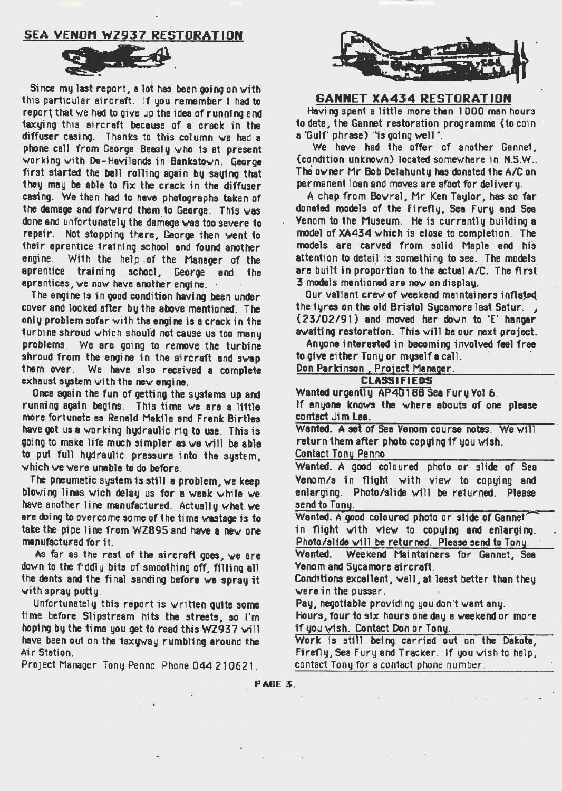## **SEA VENOM WZ937 RESTORATION**



Since my last report, a lot has been coing on with this particular aircraft. If you remember I had to report that we had to give up the idea of running and taxuing this sircraft because of a crack in the diffuser casing. Thanks to this column we had a phone call from George Beasly who is at present working with De-Havilands in Bankstown. George first started the ball rolling again by saying that they may be able to fix the crack in the diffuser casing. We then had to have photographs taken of the damage and forward them to George. This was done and unfortunately the damage was too severe to repair. Not stopping there, George then went to their aprentice training school and found another engine. With the help of the Manager of the aprentice training school. George and the aprentices, we now have another engine.

The engine is in good condition having been under cover and looked after bu the above mentioned. The only problem sofar with the engine is a crack in the turbine shroud which should not cause us too manu problems. We are going to remove the turbine shroud from the engine in the aircraft and swap them over. We have also received a complete exhaust system with the new engine.

Once again the fun of getting the systems up and running again begins. This time we are a little more fortunate as Renald Makila and Frank Birtles have got us a working hydraulic rig to use. This is going to make life much simpler as we will be able to put full hydraulic pressure into the system. which we were unable to do before.

The pneumatic system is still a problem, we keep blowing lines wich delay us for a week while we have another line manufactured. Actually what we are doing to overcome some of the time wastage is to take the pipe line from WZ895 and have a new one manufactured for it.

As far as the rest of the aircraft goes, we are down to the fiddly bits of smoothing off, filling all the dents and the final sanding before we spray it with spray putty.

Unfortunately this report is written quite some time before Slipstream hits the streets, so I'm hoping by the time you get to read this WZ937 will have been out on the taxyway rumbling around the Air Station.

Project Manager Tony Penno Phone 044 210621.



### **GANNET XA434 RESTORATION**

Having spent a little more than 1000 man hours to date, the Gannet restoration programme (to coin a 'Gulf' phrase) "is going well".

We have had the offer of another Gannet, (condition unknown) located somewhere in N.S.W.. The owner Mr Bob Delahuntu has donated the A/C on permanent loan and moves are afoot for delivery.

A chap from Bowral, Mr Ken Taylor, has so far donated models of the Fireflu. Sea Furu and Sea Venom to the Museum. He is currently building a model of XA434 which is close to completion. The models are carved from solid Maple and his attention to detail is something to see. The models are built in proportion to the actual A/C. The first 3 models mentioned are now on display.

Our valiant crew of weekend maintainers inflated the tyres on the old Bristol Sycamore last Satur. (23/02/91) and moved her down to 'E' hanger awaiting restoration. This will be our next project.

Anyone interested in becoming involved feel free to give either Tony or muself a call.

Don Parkinson, Project Manager.

### **CLASSIFIEDS**

Wanted urgently AP40188 Sea Fury Yol 6. If anyone knows the where abouts of one please contact Jim Lee.

Wanted. A set of Sea Venom course notes. We will return them after photo copying if you wish. **Contact Tony Penno** 

Wanted. A good coloured photo or slide of Sea Venom/s in flight with view to copying and enlarging. Photo/slide will be returned. Please send to Tony.

Wanted. A good coloured photo or slide of Gannet in flight with view to copying and enlarging. Photo/slide will be returned. Please send to Tony.

Weekend Maintainers for Gannet, Sea Wanted. Yenom and Sucamore aircraft.

Conditions excellent, well, at least better than they were in the pusser.

Pay, negotiable providing you don't want any.

Hours, four to six hours one day a weekend or more if you wish. Contact Don or Tony.

Work is still being carried out on the Dakota, Firefly, Sea Fury and Tracker. If you wish to help, contact Tony for a contact phone number.

**PAGE 3.**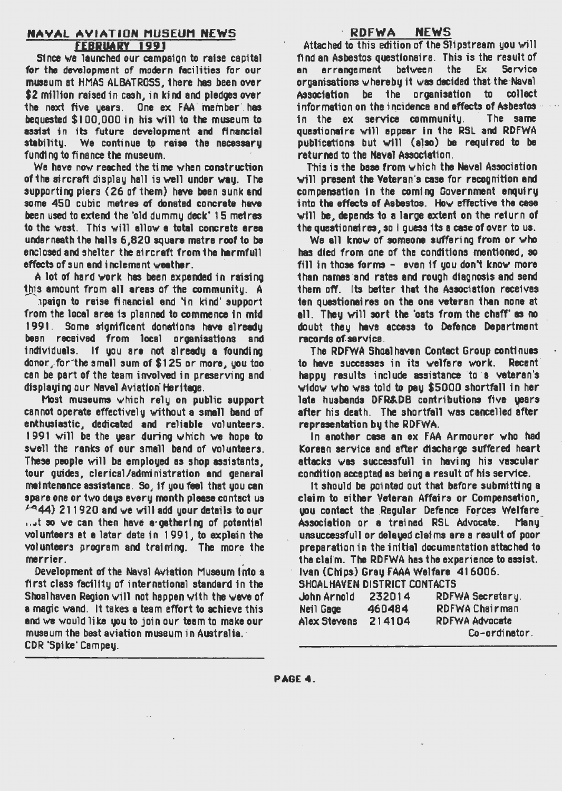#### **NAYAL AVIATION MUSEUM NEWS FEBRUARY 1991**

Since we launched our campaign to raise capital for the development of modern facilities for our museum at HMAS ALBATROSS, there has been over \$2 million raised in cash, in kind and pledoes over the next five uears. One ex FAA member has bequested \$100,000 in his will to the museum to assist in its future development and financial stability. We continue to raise the necessary funding to finance the museum.

We have now reached the time when construction of the sircraft display hall is well under way. The supporting piers (26 of them) have been sunk and some 450 cubic metres of donated concrete have been used to extend the 'old dummu deck' 15 metres to the west. This will allow a total concrete area under neath the halls 6.820 square matra roof to be enclosed and shelter the aircraft from the harmfull effects of sun and inclement weather.

A lot of hard work has been expended in raising this amount from all areas of the community. A

apaign to reise financial and 'in kind' support from the local area is planned to commence in mid 1991. Some significant donations have already been received from local organisations and individuals. If you are not already a founding donor, for the small sum of \$125 or more, you too can be part of the team involved in preserving and displaying our Navel Aviation Heritage.

Most museums which rely on public support cannot operate effectively without a small band of enthusiastic, dedicated and reliable volunteers. 1991 will be the year during which we hope to swell the ranks of our small band of volunteers. These people will be employed as shop assistants. tour guides, clerical/administration and general meintenance assistance. So, if you feel that you can spare one or two days every month please contact us / 44) 211920 and we will add your details to our ...t so we can then have a gathering of potential volunteers at a later date in 1991, to explain the volunteers program and training. The more the merrier.

Development of the Naval Aviation Museum into a first class facility of international standard in the Shoalhaven Region will not happen with the wave of a magic wand. It takes a team effort to achieve this and we would like you to join our team to make our museum the best aviation museum in Australia. CDR 'Spike' Campey.

#### RDFWA **NEWS**

Attached to this edition of the Slipstream you will find an Asbestos questionaire. This is the result of arrangement between the Ex **Service** an. organisations whereby it was decided that the Naval. be the proanisation to collect Association information on the incidence and effects of Asbestos in the ex service community. The same questionaire will appear in the RSL and RDFWA publications but will (also) be required to be returned to the Naval Association.

This is the base from which the Naval Association will present the Veteran's case for recognition and compensation in the coming Government enquiry into the effects of Asbestos. How effective the case will be, depends to a large extent on the return of the questionaires, so I quess its a case of over to us.

We all know of someone suffering from or who has died from one of the conditions mentioned, so fill in those forms - even if you don't know more than names and rates and rough diagnosis and send them off. Its better that the Association receives ten questionaires on the one veteran than none at all. They will sort the 'oats from the chaff' as no doubt they have access to Defence Department racords of service.

The RDFWA Shoalhaven Contact Group continues to have successes in its welfare work. Recent happy results include assistance to a veteran's widow who was told to pay \$5000 shortfall in her late husbands DFR&DB contributions five years after his death. The shortfall was cancelled after representation by the RDFWA.

In another case an ex FAA Armourer who had Korean service and after discharge suffered heart attacks was successfull in having his vascular condition accepted as being a result of his service.

It should be pointed out that before submitting a claim to either Veteran Affairs or Compensation. you contact the Regular Defence Forces Welfare Association or a trained RSL Advocate. **Manu** unsuccessfull or deleved claims are a result of poor preparation in the initial documentation attached to the claim. The RDFWA has the experience to assist. Ivan (Chips) Gray FAAA Welfare 416006.

| SHOALHAVEN DISTRICT CONTACTS |        |                       |  |  |
|------------------------------|--------|-----------------------|--|--|
| John Arnold                  | 232014 | RDFWA Secretary.      |  |  |
| Neil Gage                    | 460484 | <b>RDFWAChairman</b>  |  |  |
| Alex Stevens                 | 214104 | <b>RDFWA Advocate</b> |  |  |
|                              |        | Co-ordinator          |  |  |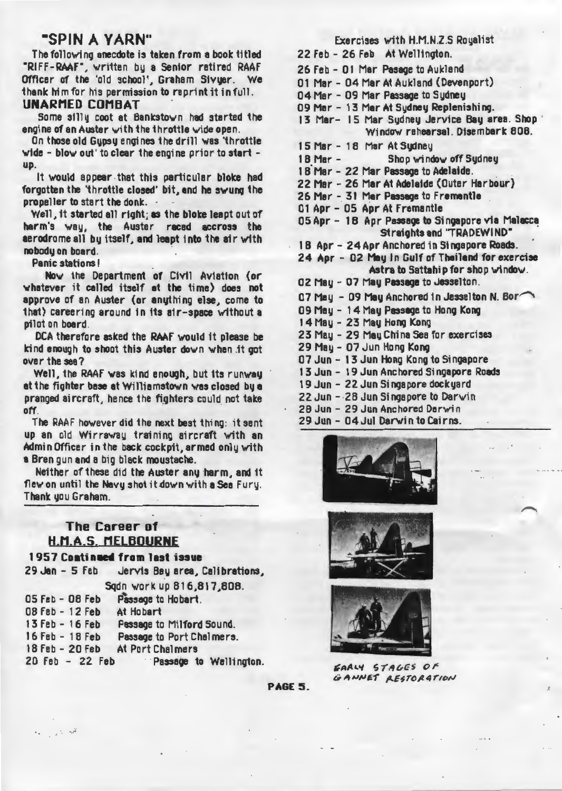# ·SPIN A VARN"

The following anecdote is taken from a book titled "RIFF-RAAF", written by a Senior retired RAAF Officer of the 'old school', Graham Sivyer. We thank him for his permission to reprint it in full.

# UNARMED COMBAT .

Some silly coot at Bankstown had started the engine of an Auster with the throttle wide open.

On those old Gypsy engines the drill was 'throttle wide - blow out' to clear the engine prior to start up.

It would appear that this particular bloke had forgotten the 'throttle closed' bit, and he swung the propeller to start the donk. ·

Well, 1t started all right; as the bloke leapt out of harm's way, the Auster raced accross the aerodrome all by itself, and leapt into the air with nobodu on board.

Panic stations!

Now the Department of Civil Aviation (or whatever it celled itself at the time) does not approve of an Auster (or anything else, come to that) careering around in 11s air-space without a pilot on board.

DCA therefore asked the RAAF would it please be kind enough to shoot this Auster down when .it got over the see?

Well, the RAAF was kind enough, but its runway at the fighter base at Williamstown was closed by a pranged aircraft, hence the fighters could not take off.

The RAAF however did the next best thing: it sent up an old Wirraway training aircraft with an Admin Officer in the back cockpit, armed only with a Bren gun and a big black moustache.

Neither of these did the Auster any harm, and it flew on until the Navy shot it down with a Sea Fury. Thank you Graham.

# **The Career of** H.M.A.S. MELBOURNE

. , ...

| 1957 Continued from last issue |                                               |
|--------------------------------|-----------------------------------------------|
|                                | 29 Jan - 5 Feb Jervis Bay area, Calibrations, |
|                                | Sqdn work up 816,817,808.                     |
| $05$ Feb $-$ 08 Feb            | Passage to Hobart.                            |
| 08 Feb - 12 Feb At Hobart      |                                               |
| 13 Feb - 16 Feb                | Passage to Milford Sound.                     |
| 16 Feb - 18 Feb                | Passage to Port Chalmers.                     |
| 18 Feb - 20 Feb                | At Port Chalmers                              |
| 20 Feb - 22 Feb                | Passage to Wellington.                        |

| Exercises with H.M.N.Z.S Royalist                                                |
|----------------------------------------------------------------------------------|
| 22 Feb - 26 Feb At Wellington.                                                   |
| 26 Feb - 01 Mar Pasage to Aukland                                                |
| 01 Mar - 04 Mar At Aukland (Devenport)                                           |
| 04 Mar - 09 Mar Passage to Sydney                                                |
| 09 Mar - 13 Mar At Sydney Replenishing.                                          |
| 13 Mar- 15 Mar Sydney Jervice Bay area. Shop<br>Window rehearsal. Disembark 808. |
| 15 Mar - 18 Mar At Sydney                                                        |
| Shop window off Sydney<br>$18$ Mar $-$                                           |
| 18 Mar - 22 Mar Passage to Adelaide.                                             |
| 22 Mar - 26 Mar At Adelaide (Outer Harbour)                                      |
| 26 Mar - 31 Mar Passage to Frementle                                             |
| 01 Apr - 05 Apr At Fremantie                                                     |
| 05 Apr - 18 Apr Passage to Singapore via Malacca<br>Straights and "TRADEWIND"    |
| 18 Apr - 24 Apr Anchored in Singapore Roads.                                     |
| 24 Apr - 02 May In Gulf of Thailand for exercise                                 |
| Astra to Sattahip for shop window.                                               |
| 02 May - 07 May Passage to Jesselton.                                            |
| 07 May - 09 May Anchored in Jesselton N. Bor                                     |
| 09 May - 14 May Passage to Hong Kong                                             |
| 14 May - 23 May Hong Kong                                                        |
| 23 May - 29 May China Sea for exercises                                          |
| 29 May - 07 Jun Hong Kong                                                        |
| 07 Jun - 13 Jun Hong Kong to Singapore                                           |
| 17 Iun 10 Iun Annhamed Cinnenare Doede                                           |

- 13 Jun 19 Jun Anchored Singapore Roads
- 19 Jun 22 Jun Singapore dockyard
- $22$  Jun  $28$  Jun Singapore to Darwin
- 28 Jun 29 Jun Anchored Darwin
- 29 Jun 04 Jul Darwin to Cairns.







 $FAAY$  57AGES OF  $G$  ANNET **AESTORATION** 

PAGE 5.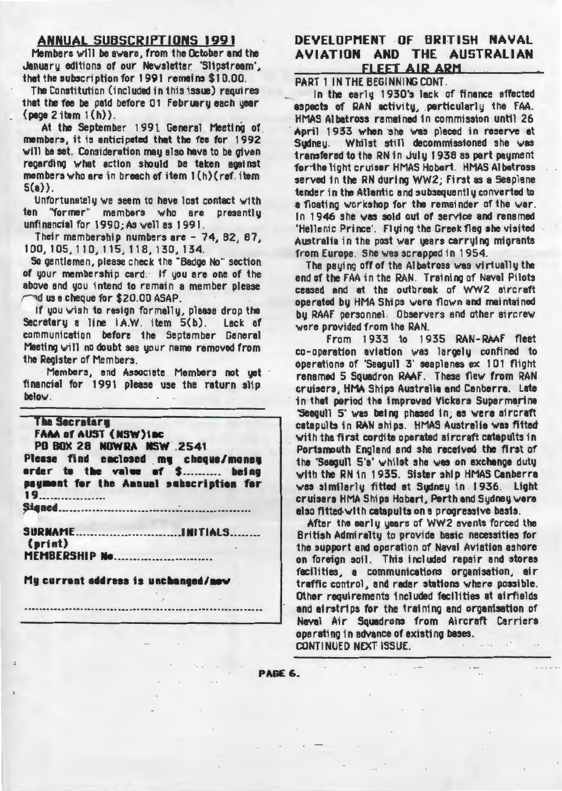### **ANNUAL SUBSCRIPTIONS 1991**

Members will be aware, from the October and the January editions of our Newsletter 'Slipstream'. that the subscription for 1991 remains \$10.00.

The Constitution (included in this issue) requires that the fee be paid before 01 February each year  ${page 2 item 1(h)}.$ 

At the September 1991 General Meeting of members, it is anticipated that the fee for 1992 will be set. Consideration may also have to be given regarding what action should be taken against members who are in breach of item 1(h)(ref. item  $5(a)$ .

Unfortunately we seem to have lost contact with ten "former" members who are presentlu unfinancial for 1990; As well as 1991.

Their membership numbers are - 74, 82, 87. 100, 105, 110, 115, 118, 130, 134.

So gentlemen, please check the "Badge No" section of your membership card: If you are one of the above and you intend to remain a member please and us a cheque for \$20.00 ASAP.

If you wish to resign formally, please drop the Secretary a line I.A.W. item 5(b). Lack of communication before the September General Meeting will no doubt see your name removed from the Register of Members.

Members, and Associate Members not uet financial for 1991 please use the raturn slip below.

#### **The Secretary**

**FAAA of AUST (NSW)1BC** PD BOX 28 NOWRA NSW 2541 Please find enclosed my cheque/money<br>erder to the value of \$.......... being payment for the Annual subscription for 

 $(rint)$ **MEMBERSHIP No..........................** 

Mu current address is unchanged/new

DEVELOPMENT OF BRITISH NAVAL AVIATION AND THE AUSTRALIAN FLEET AIR ARM

PART 1 IN THE BEGINNING CONT.

In the early 1930's lack of finance affected aspects of RAN activity, perticularly the FAA. HMAS Albatross remained in commission until 26 April 1933 when she was placed in reserve at Sudney. Whilst still decommissioned she was transfered to the RN in July 1938 as part payment for the light cruiser HMAS Hobert. HMAS Albetross served in the RN during WW2: First as a Seaplane tender in the Atlantic and subsequently converted to a floating workshop for the remainder of the war. In 1946 she was sold out of service and renamed 'Hellenic Prince'. Fluing the Greek flag she visited Australia in the post war years carrying migrants from Europe. She was scrapped in 1954.

The paying off of the Albatross was virtually the end of the FAA in the RAN Training of Naval Pilots ceased and at the outbreak of WW2 aircraft operated by HMA Ships were flown and maintained by RAAF personnel. Observers and other aircrew were provided from the RAN.

From 1933 to 1935 RAN-RAAF fleet co-operation aviation was largely confined to operations of 'Seagull 3' seaplanes ex 101 flight renamed 5 Squadron RAAF. These flew from RAN cruisers. HMA Ships Australia and Canberra. Late in that period the improved Vickers Supermarine "Seagull 5" was being phased in: as were aircraft catapults in RAN ships. HMAS Australia was fitted with the first cordite operated sircraft catapults in Portsmouth England and she received the first of the 'Saegull 5's' whilst she was on exchange dutu with the RN in 1935. Sister ship HMAS Canberra was similarly fitted at Sydney in 1936. Light cruisers HMA Ships Hobart, Perth and Sudney were also fitted with catabults on a progressive basis.

After the early years of WW2 events forced the British Admiralty to provide basic necessities for the support and operation of Naval Aviation ashore on foreign soil. This included repair and stores facilities, a communications organisation, air traffic control, and radar stations where possible. Other requirements included fecilities at airfields and airstrips for the training and organisation of Nevel Air Squadrons from Aircraft Carriers operating in advance of existing bases.

**CONTINUED NEXT ISSUE.** 

PAGE 6.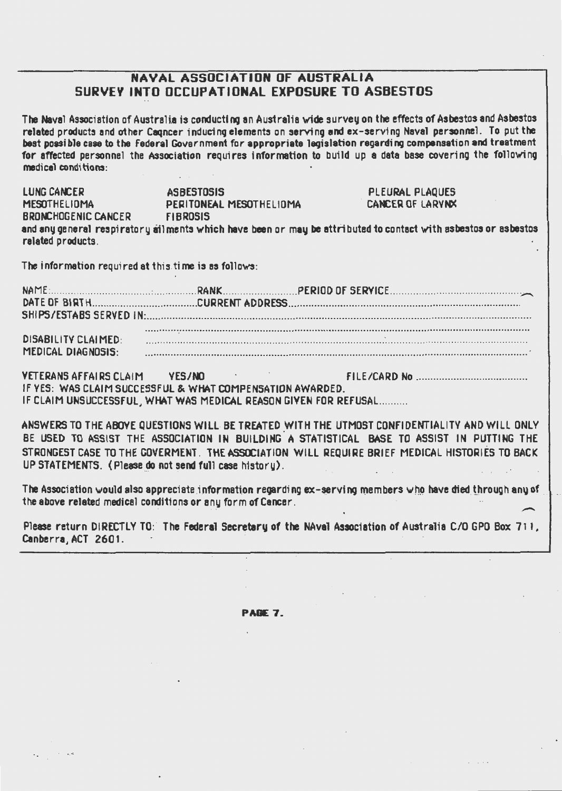# NAVAL ASSOCIATION OF AUSTRALIA SURVEY INTO OCCUPATIONAL EXPOSURE TO ASBESTOS

The Naval Association of Australia is conducting an Australia wide survey on the effects of Asbestos and Asbestos related products and other Cagncer inducing elements on serving and ex-serving Naval personnel. To put the best possible case to the Federal Government for appropriate legislation regarding compensation and treatment for affected personnel the Association requires information to build up a data base covering the following medical conditions:

| <b>LUNG CANCER</b>                                                                                             | <b>ASBESTOSIS</b>       | PLEURAL PLAQUES         |  |
|----------------------------------------------------------------------------------------------------------------|-------------------------|-------------------------|--|
| <b>MESOTHELIOMA</b>                                                                                            | PERITONEAL MESOTHELIOMA | <b>CANCER OF LARYNX</b> |  |
| <b>BRONCHOGENIC CANCER</b>                                                                                     | <b>FIBROSIS</b>         |                         |  |
| and any general respiratory ailments which have been or may be attributed to contact with asbestos or asbestos |                         |                         |  |
| related products.                                                                                              |                         |                         |  |

The information required at this time is as follows:

| <b>DISABILITY CLAIMED:</b> |  |  |  |  |  |  |
|----------------------------|--|--|--|--|--|--|
| MEDICAL DIAGNOSIS:         |  |  |  |  |  |  |

**VETERANS AFFAIRS CLAIM VFS/NO** IF YES: WAS CLAIM SUCCESSFUL & WHAT COMPENSATION AWARDED. IF CLAIM UNSUCCESSFUL, WHAT WAS MEDICAL REASON GIVEN FOR REFUSAL..........

ANSWERS TO THE ABOVE QUESTIONS WILL BE TREATED WITH THE UTMOST CONFIDENTIALITY AND WILL ONLY BE USED TO ASSIST THE ASSOCIATION IN BUILDING A STATISTICAL BASE TO ASSIST IN PUTTING THE STRONGEST CASE TO THE COVERMENT. THE ASSOCIATION WILL REQUIRE BRIEF MEDICAL HISTORIES TO BACK UP STATEMENTS. (Please do not send full case history).

The Association would also appreciate information regarding ex-serving members who have died through any of the above related medical conditions or any form of Cancer.

Please return DIRECTLY TO: The Federal Secretary of the NAval Association of Australia C/O GPO Box 711. Canberra, ACT 2601.

PAGE 7.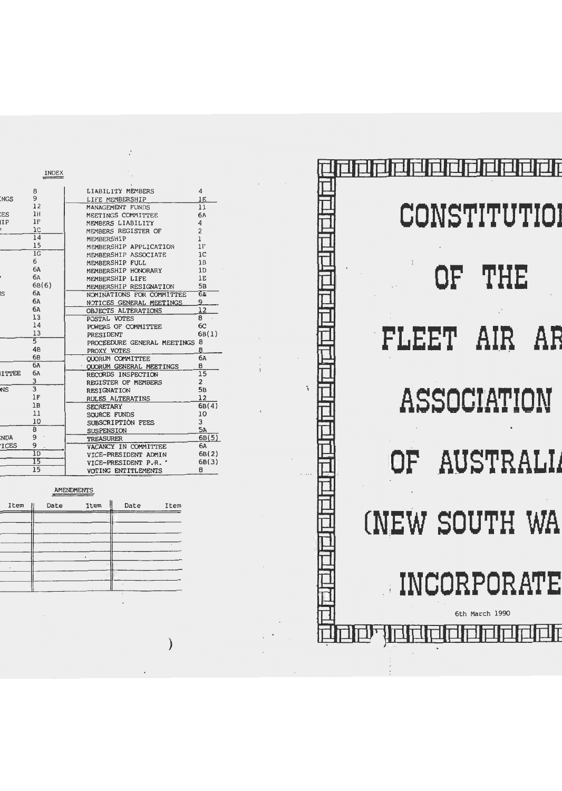|              | INDEX          |                             |                 |
|--------------|----------------|-----------------------------|-----------------|
|              | 8              | LIABILITY MEMBERS           | 4               |
| <b>NGS</b>   | 9              | LIFE MEMBERSHIP             | 1E              |
|              | 12             | MANAGEMENT FUNDS            | 11              |
| <b>CS</b>    | 1H             | MEETINGS COMMITTEE          | 6Л              |
| IIP          | 1F             | MEMBERS LIABILITY           | 4               |
|              | $_{1c}$        | MEMBERS REGISTER OF         | $\overline{c}$  |
|              | 14             | MEMBERSHIP                  | $\mathbf{1}$    |
|              | 15             | MEMBERSHIP APPLICATION      | 1F              |
|              | 1 <sup>G</sup> | MEMBERSHIP ASSOCIATE        | 1C              |
|              | 6              | MEMBERSHIP FULL             | 1B              |
|              | <b>6A</b>      | MEMBERSHIP HONORARY         | 1 <sub>D</sub>  |
|              | 6A             | MEMBERSHIP LIFE             | 1E              |
|              | 6B(6)          | MEMBERSHIP RESIGNATION      | 5B              |
| <b>IS</b>    | 6A             | NOMINATIONS FOR COMMITTEE   | $6\overline{a}$ |
|              | 6A             | NOTICES GENERAL MEETINGS    | 9               |
|              | 6A             | OBJECTS ALTERATIONS         | 12              |
|              | 13             | POSTAL VOTES                | 8               |
|              | 14             | POWERS OF COMMITTEE         | 6 <sup>C</sup>  |
|              | 13             | PRESIDENT                   | 6B(1)           |
|              | $\overline{5}$ | PROCEEDURE GENERAL MEETINGS | 8               |
|              | 4B             | PROXY VOTES                 | 8               |
|              | 6B             | OUORUM COMMITTEE            | 6A              |
|              | 6A             | OUORUM GENERAL MEETINGS     | 8               |
| <b>ITTEE</b> | 6A             | RECORDS INSPECTION          | 15              |
|              | 3              | REGISTER OF MEMBERS         | $\overline{c}$  |
| <br>NS       | $\overline{3}$ | <b>RESIGNATION</b>          | 5в              |
|              | 1F             | RULES ALTERATINS            | 12              |
|              | 1B             | <b>SECRETARY</b>            | 6B(4)           |
|              | 11             | SOURCE FUNDS                | 10              |
|              | 10             | SUBSCRIPTION FEES           | 3               |
|              | 8              | <b>SUSPENSION</b>           | 5A              |
| NDA:         | 9              | <b>TREASURER</b>            | 6B(5)           |
| <b>ICES</b>  | 9              | VACANCY IN COMMITTEE        | 6A              |
|              | 1D             | VICE-PRESIDENT ADMIN        | 6B(2)           |
|              | 15             | VICE-PRESIDENT P.R. '       | 6B(3)           |
|              | 15             | VOTING ENTITLEMENTS         | 8               |
|              |                |                             |                 |

 $\boldsymbol{\varphi}$ 

### AMENDMENTS

 $\hat{\mathcal{A}}$ 

| Item<br>$^{\circ}$ | Date | Item | Date | Item |
|--------------------|------|------|------|------|
|                    |      |      |      |      |
|                    |      |      |      |      |
|                    |      |      |      |      |
|                    |      |      |      |      |
|                    |      |      |      |      |
|                    |      |      |      |      |

 $\mathcal{E}$ 

|                     | CONSTITUTIO)   |  |
|---------------------|----------------|--|
|                     | OF THE         |  |
| <b>FLEET AIR AF</b> |                |  |
|                     | ASSOCIATION    |  |
|                     | OF AUSTRALI    |  |
| (NEW SOUTH WA       |                |  |
|                     | INCORPORATE    |  |
|                     | 6th March 1990 |  |

 $\ddot{\phantom{0}}$ 

 $\cdot$ 

N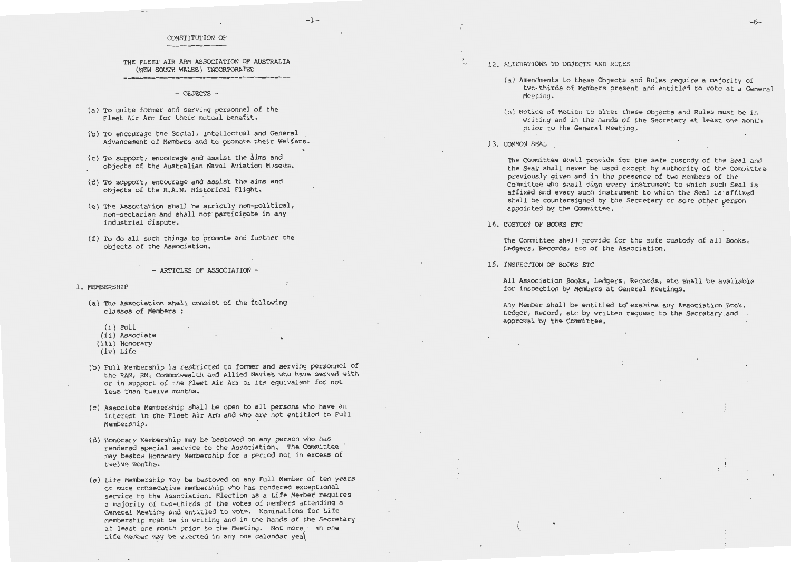#### $-1-$

#### CONSTITUTION OF

#### THE FLEET AIR ARM ASSOCIATION OF AUSTRALIA (NEW SOUTH WALES) INCORPORATED

- OBJECTS -

- (a) To unite former and serving personnel of the Fleet Air Arm for their mutual benefit.
- (b) To encourage the Social, Intellectual and General Advancement of Members and to promote their Welfare.
- (c) To support, encourage and assist the aims and objects of the Australian Naval Aviation Museum.
- (d) To support, encourage and assist the aims and objects of the R.A.N. Historical Flight.
- (e) The Association shall be strictly non-political, non-sectarian and shall not participate in any industrial dispute.
- $(f)$  To do all such things to promote and further the objects of the Association.
	- $-$  ARTICLES OF ASSOCIATION  $-$

1. MEMBERSHIP

(a) The Association shall consist of the following classes of Members :

- (i) Full
- (ii) Associate
- (iii) Honorary
- (iv) Life
- (b) Full Membership is restricted to former and serving personnel of the RAN, RN, Conrnonwealth and Allied Navies who have ·served with or in support of the Fleet Air Arm or its equivalent for not less than twelve months.
- (c) Associate Membership shall be open to all persons who have an interest in the Fleet Air Arm and who are not entitled to Full Membership.
- (d) Honorary Membership may be bestowed on any person who has rendered special service to the Association. The Committee may bestow Honorary Membership for a period not in excess of twelve months.
- (e) Life Membership may be bestowed on any Full Member of ten years or more consecutive membership who has rendered exceptional service to the Association. Election as a Life Member requires a majority of two-thirds of the votes of members attending a General Meeting and entitled to vote. Nominations for Life Membership must be in writing and in the hands of the Secretary at least one month prior to the Meeting. Not more *'* an one Life Member may be elected in any one calendar yea

-6-

- ,,. 12. ALTERATIONS TO OBJECTS AND RULES
	- (a) Amendments to these Objects and Rules require a majority of two-thirds of Members present and entitled to vote at a General Meeting .
	- (b) Notice of Motion to alter these Objects and Rules must be in writing and in the hands of the Secretary at least one month prior to the General Meeting.
	- 13. COMMON SEAL

The Committee shall provide for the safe custody of the Seal and the Seal shall never be used except by authority of the Committee previously given and in the presence of two Members of the Committee who shall sign every instrument to which such Seal is affixed and every such instrument to which the Seal is affixed shall be countersigned by the Secretary or some other person appointed by the Committee.

14. CUSTODY OF BOOKS ETC

The Committee shall provide for the safe custody of all Books, Ledgers, Records, etc of the Association.

15. INSPECTION OF BOOKS ETC

 $\mathcal{L}$ 

All Association Books, Ledgers, Records, etc shall be available for inspection by Members at General Meetings.

Any Member shall be entitled to examine any Association Book, Ledger, Record, etc by written request to the Secretary .and approval by the Committee.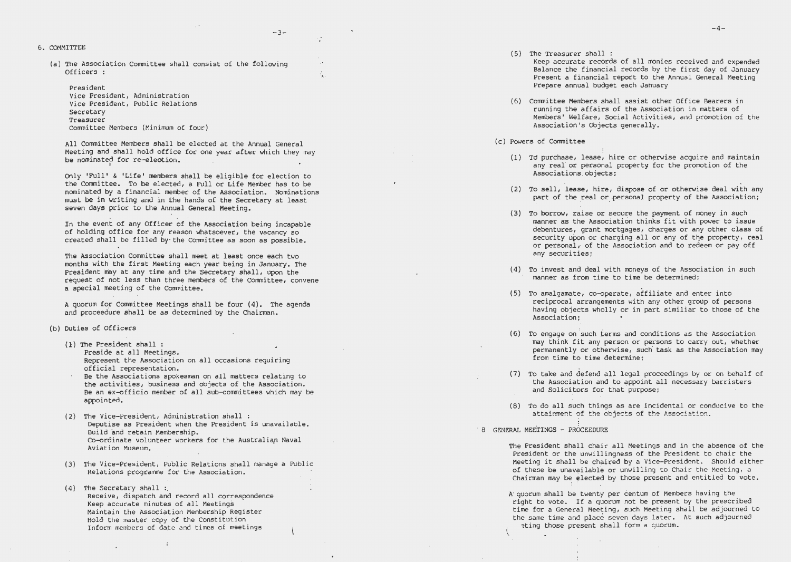6. COMMITTEE

(a) The Association Committee shall consist of the following Officers:

#### President

Vice President, Administration Vice President, Public Relations Secretary Treasurer Committee Members (Minimum of four)

All Committee Members shall be elected at the Annual General Meeting and shall hold office for one year after which they may be nominated for re-election.

 $-2-$ 

Only 'Full' & 'Life' members shall be eligible for election to the Committee. To be elected, a Full or Life Member has to be nominated by a financial member of the Association. Nominations must be in writing and in the hands of the Secretary at least seven days prior to the Annual General Meeting.

In the event of any Officer of the Association being incapable of holding office for any reason whatsoever, the vacancy so created shall be filled by the Committee as soon as possible.

The Association Committee shall meet at least once each two months with the first Meeting each year being in January. The President may at any time and the Secretary shall, upon the request of not less than three members of the Committee, convene a special meeting of the Committee.

A quorum for Committee Meetings shall be four (4). The agenda and proceedure shall be as determined by the Chairman.

- (b) Duties of Officers
	- (1) The President shall: Preside at all Meetings. Represent the Association on all occasions requiring official representation.
	- Be the Associations spokesman on all matters relating to the activities, business and objects of the Association. Be an ex-officio member of all sub-committees which may be appointed.
	- (2) The Vice-President, Administration shall: Deputise as President when the President is unavailable. Build and retain Membership. Co-ordinate volunteer workers for the Australian Naval Aviation Museum.
	- (3) The Vice-President, Public Relations shall manage a Public Relations programme for the Association.
	- (4) The Secretary shall: Receive, dispatch and record all correspondence Keep accurate minutes of all Meetings Maintain the Association Membership Register Hold the master copy of the Constitution Inform members of date and times of meetings

 $\ddot{i}$ 

 $(5)$  The Treasurer shall :

Keep accurate records of all monies received and expended Balance the financial records by the first day of January Present a financial report to the Annual General Meeting Prepare annual budget each January

- (6) Committee Members shall assist other Office Bearers in running the affairs of the Association in matters of Members' Welfare, Social Activities, and promotion of the Association's Objects generally.
- (c) Powers of Committee
	- (1) Td purchase, lease, hire or otherwise acquire and maintain any real or personal property for the promotion of the Associations objects;
	- (2) To sell, lease, hire, dispose of or otherwise deal with any part of the real or personal property of the Association;
	- (3) To borrow, raise or secure the payment of money in such manner as the Association thinks fit with power to issue debentures, grant mortgages, charges or any other class of security upon or charging all or any of the property, real or personal, of the Association and to redeem or pay off any securities;
	- (4) To invest and deal with moneys of the Association in such manner as from time to time be determined;
	- (5) To amalgamate, co-operate, affiliate and enter into reciprocal arrangements with any other group of persons having objects wholly or in part similiar to those of the Association;
	- (6) To engage on such terms and conditions as the Association may think fit any person or persons to carry out, whether permanently or otherwise, such task as the Association may from time to time determine:
	- (7) To take and defend all legal proceedings by or on behalf of the Association and to appoint all necessary barristers and Solicitors for that purpose;
	- (8) To do all such things as are incidental or conducive to the attainment of the objects of the Association.
- 8 GENERAL MEETINGS PROCEEDURE

The President shall chair all Meetings and in the absence of the President or the unwillingness of the President to chair the Meeting it shall be chaired by a Vice-President. Should either of these be unavailable or unwilling to Chair the Meeting, a Chairman may be elected by those present and entitled to vote.

A quorum shall be twenty per centum of Members having the right to vote. If a quorum not be present by the prescribed time for a General Meeting, such Meeting shall be adjourned to the same time and place seven days later. At such adjourned eting those present shall form a quorum.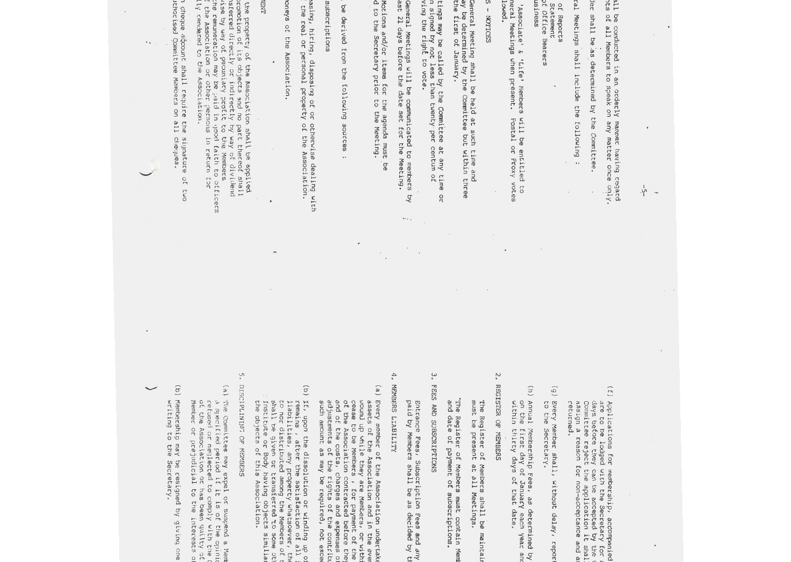the pr  $\tilde{b}$ asing, hiring, disposin subacriptio ·) Investing moneys of the Associati tings may be called by the Committee at any time or communicated to the Secretary prior to the Meeting. Notices of Motions and/or items for the agenda must be Notices of General Meetings will be communicated to members by the real or personal Funds shall be derived from the f ast 21 days before the date set for the Meeting. ving the right to vote. by petition signed by not less than twenty the first of January. ay be determined by the Committee but within three MANAGEMENT otherwi he remunerat of t he promoti LNBI oneys of the Association. subacriptions Motions and/or items for the agenda must be<br>d to the Secretary prior to the Meeting. ast 21 days before the date set General Meetings will be communicated to<br>ast 21 days before the date set for the ! n signed by not less th<br>ving the right to vote. tings may be called by the Committee at any time or<br>insigned by not less than twenty per centum of General Meeting shall be held at such time and<br>ay be determined by the Committee but within three<br>the first of January. s e by erc ed d i cectly Assoc i ation on operty of the Ass way of pec of its on pied; ag yan objec t s 3 nd *oc*  i n d irec or other per unial oll  $\prec$ p r oci operty of the Ass pro owing sour of ati fit to the Membe tly hy way of di or  $\overline{\phantom{a}}$ no pa so n yoocl faith to on s h a ll be a p plied otherwise dealin ns in per centum of ct thereof shall ce s cetuc co members by:<br>e Meeting. ociati n rs<br>G vide *Eoc*  offi on. g wit  $\frac{1}{2}$ c e cs h  $\hat{b}$  ,  $\hat{b}$  $\mathcal{I}_{\rm{in}}$  $\bullet\bullet$ 

lly rendered to the Ass oc i a t i on.

n cheque acco unt s ha ll require the signature of two ithor. ed Commit tee Membecs on all cheques.

 $\ddot{\phantom{a}}$ 

(f) Appl i cati ons fo r membership, acc ompanied are t o be l odg ed with the Secretary for a days bef oc  $\frac{1}{\sqrt{1}}$ hey can be accepted by the C Commit teject t he a pplication it s hall not be assig n a r eason for no on-acceptance and ar

 $\frac{1}{1}$ 

 $\ddot{\phantom{a}}$ 

Meetings shall be conducted in an

ts of all Members to s

Rules of Order shall be

al Meetings

of Reports Statement

9f Office Bearers

Statement<br>office Bearers<br>of of Reports

ainess All 'Full', 'Associate'

**JSJNGSS** 

·& 'Life' Members will be entitle

'Associate' & 'Life' Nembers will be entitled<br>neral Meetings when present. Postal or Proxy '

vote at General Meetings when present. Postal or Pro

I owed.

Lowed.

 $\frac{1}{2}$ 

NOTICES

-92

The Annual General Meeting shall be held at such time and

 $\overline{c}$ 

otes

shall inclu

de the foll

owing

:as det e rmin

ed by the Committee.

orderly manner ha

peak on any matter once

ll be conducted in an orderly manner having regard<br>ts of all Members to speak on any matter once  $\mathrm{onj}\,\mathrm{y}$ .

ving regard

(g) Every to the Secret Member s ary hall, without delay, report . report

r et ucned.

- $\Xi$ ) Annual within thir on the first Membersh i y day day o p Fees, as s of that date f January each year and shall deter . mined by an<br>Ya
- $\ddot{\phantom{0}}$ 2. RBGISTER OF MEMBERS REGISTER OF MEMBERS

The Register of Members shall be maintain must be present at all Meeting The Register of Members shall be maintain<br>must be present at all Meetings.

"The Register of Members must contain Mem<br>and date of payment of subscriptions. The Register of Members must contain Memb and date of payment of subscriptions.

 $\ddot{\cdot}$ 3. FEES AND SUBSCRIPTIONS FEES AND SUBSCRIPTIONS

Entran ce Fees, Subscription Fees and any paid by Members shall be as decided by the  $\overline{C}$ 

MEMBERS LIABILITY

 $\ddot{ }$ 

- 4. MEMBERS LIABILITY<br>(a) Every member of the Association undertake  $\left( \begin{array}{c} \mathbf{e} \end{array} \right)$ su a djust and cea of th asset wound  $\overline{a}$ se to be Members , for payment of the of t amount as may be required, not excee e Associa s of the Associat ments up while he costs of the rights of the contributions among themsel they are Members, ion contracted before they , charges and expenses of n and in the ever orwithin
- $(6)$  If, upon the d<br>ins , afte issolution or winding up of remains , aft che satisfact of all i liabil ties , any pc operty whats o e ver, the  $\sigma$ n or distri buted among the Membecs of th s ha ll be give n *oc* transfecred ~o some  $\frac{10}{11}$ Institute or Body having objects s imili  $\mathbf{a}$  $\sim$
- 5. DISCIPLINI NG OF MEMBERS

the objects of th

s As soc iati on.

- $\sqrt{2}$ ) The Committ ee may expe l or suspen d a Member a specified per i od if it i s of tile opi
- ni on c e fusecl o r neglected t o comply with t he Constituti o f th e Assoc iat i on *oc* has been gui l ty of co Member or pre judicial to the interest s of th
- (b) Membership may be cesi gned by g i vi ng one month writing to t he Secretary.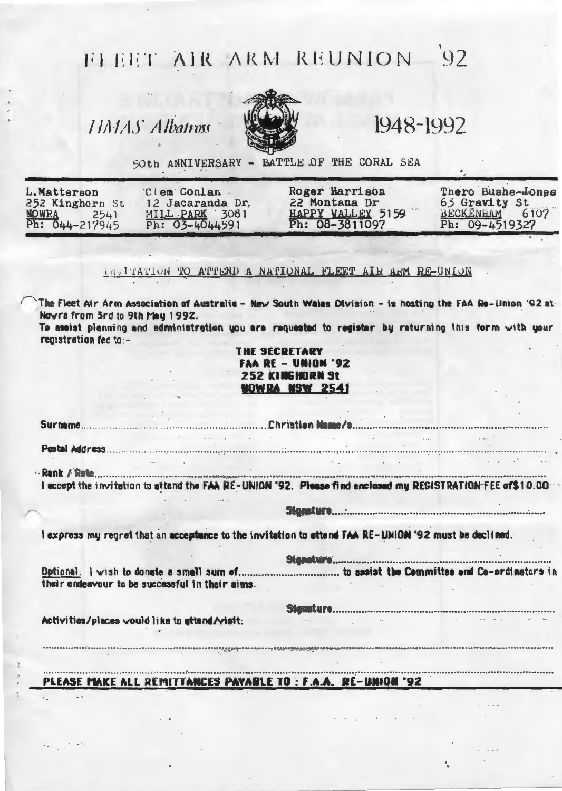# FLEET AIR ARM REUNION 92

HALAS Albatrow



1948-1992

50th ANNIVERSARY - BATTLE OF THE CORAL SEA

| L.Matterson<br>252 Kinghorn St         | "Clem Conlan<br>12 Jacaranda Dr.     | Roger Harrison<br>22 Montana Dr<br>HAPPY VALLEY 5159 | Thero Bushe-Jones<br>63 Gravity St<br>BECKENHAM 6107 |
|----------------------------------------|--------------------------------------|------------------------------------------------------|------------------------------------------------------|
| <b>NOWRA</b><br>2541<br>Ph: 044-217945 | MILL PARK 3081<br>Ph: $03 - 4044591$ | Ph: 08-3811097                                       | Ph: 09-4519327                                       |

## DRITATION TO ATTEND A NATIONAL FLEET AIR ARM RE-UNION

The Fleet Air Arm Association of Australia - New South Wales Division - is hosting the FAA Re-Union '92 at-Nowra from 3rd to 9th Mau 1992.

To assist planning and administration you are requested to register by returning this form with your registration fee to:-

> **THE SECRETARY FAA RE - UNION '92** 252 KINGHORN St NOWRA NSW 2541

I accept the invitation to attend the FAA RE-UNION '92. Please find enclosed mu REGISTRATION FEE of\$10.00

 $\sim$   $\sim$   $\sim$ 

I express my regret that an acceptance to the invitation to attend FAA RE-UNION '92 must be declined.

their endeavour to be successful in their aims.

Activities/places would like to attend/visit:

PLEASE MAKE ALL REMITTANCES PAYABLE TO: F.A.A. RE-UNION '92